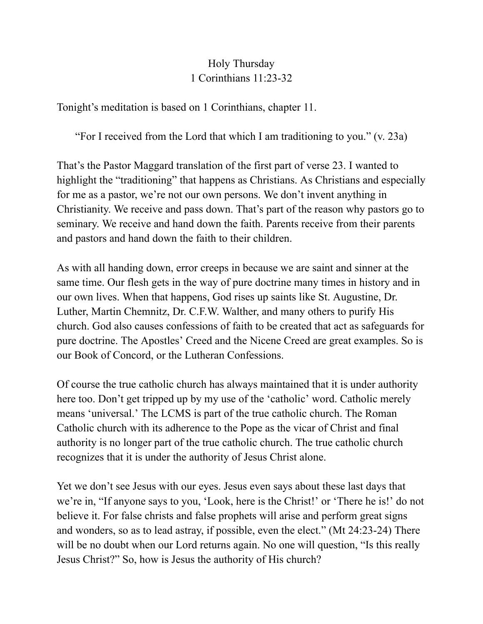## Holy Thursday 1 Corinthians 11:23-32

Tonight's meditation is based on 1 Corinthians, chapter 11.

"For I received from the Lord that which I am traditioning to you." (v. 23a)

That's the Pastor Maggard translation of the first part of verse 23. I wanted to highlight the "traditioning" that happens as Christians. As Christians and especially for me as a pastor, we're not our own persons. We don't invent anything in Christianity. We receive and pass down. That's part of the reason why pastors go to seminary. We receive and hand down the faith. Parents receive from their parents and pastors and hand down the faith to their children.

As with all handing down, error creeps in because we are saint and sinner at the same time. Our flesh gets in the way of pure doctrine many times in history and in our own lives. When that happens, God rises up saints like St. Augustine, Dr. Luther, Martin Chemnitz, Dr. C.F.W. Walther, and many others to purify His church. God also causes confessions of faith to be created that act as safeguards for pure doctrine. The Apostles' Creed and the Nicene Creed are great examples. So is our Book of Concord, or the Lutheran Confessions.

Of course the true catholic church has always maintained that it is under authority here too. Don't get tripped up by my use of the 'catholic' word. Catholic merely means 'universal.' The LCMS is part of the true catholic church. The Roman Catholic church with its adherence to the Pope as the vicar of Christ and final authority is no longer part of the true catholic church. The true catholic church recognizes that it is under the authority of Jesus Christ alone.

Yet we don't see Jesus with our eyes. Jesus even says about these last days that we're in, "If anyone says to you, 'Look, here is the Christ!' or 'There he is!' do not believe it. For false christs and false prophets will arise and perform great signs and wonders, so as to lead astray, if possible, even the elect." (Mt 24:23-24) There will be no doubt when our Lord returns again. No one will question, "Is this really Jesus Christ?" So, how is Jesus the authority of His church?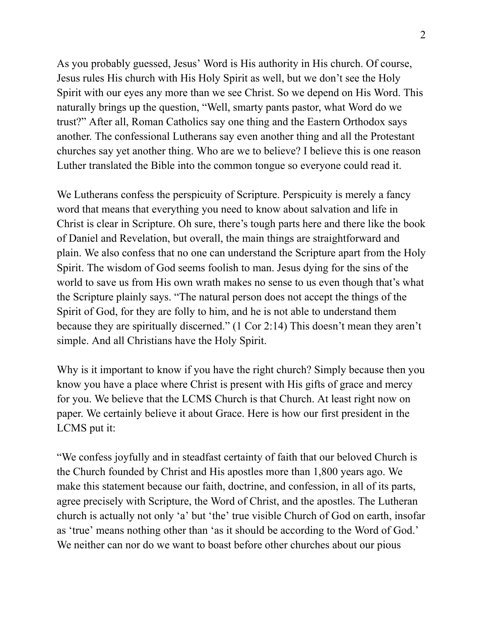As you probably guessed, Jesus' Word is His authority in His church. Of course, Jesus rules His church with His Holy Spirit as well, but we don't see the Holy Spirit with our eyes any more than we see Christ. So we depend on His Word. This naturally brings up the question, "Well, smarty pants pastor, what Word do we trust?" After all, Roman Catholics say one thing and the Eastern Orthodox says another. The confessional Lutherans say even another thing and all the Protestant churches say yet another thing. Who are we to believe? I believe this is one reason Luther translated the Bible into the common tongue so everyone could read it.

We Lutherans confess the perspicuity of Scripture. Perspicuity is merely a fancy word that means that everything you need to know about salvation and life in Christ is clear in Scripture. Oh sure, there's tough parts here and there like the book of Daniel and Revelation, but overall, the main things are straightforward and plain. We also confess that no one can understand the Scripture apart from the Holy Spirit. The wisdom of God seems foolish to man. Jesus dying for the sins of the world to save us from His own wrath makes no sense to us even though that's what the Scripture plainly says. "The natural person does not accept the things of the Spirit of God, for they are folly to him, and he is not able to understand them because they are spiritually discerned." (1 Cor 2:14) This doesn't mean they aren't simple. And all Christians have the Holy Spirit.

Why is it important to know if you have the right church? Simply because then you know you have a place where Christ is present with His gifts of grace and mercy for you. We believe that the LCMS Church is that Church. At least right now on paper. We certainly believe it about Grace. Here is how our first president in the LCMS put it:

"We confess joyfully and in steadfast certainty of faith that our beloved Church is the Church founded by Christ and His apostles more than 1,800 years ago. We make this statement because our faith, doctrine, and confession, in all of its parts, agree precisely with Scripture, the Word of Christ, and the apostles. The Lutheran church is actually not only 'a' but 'the' true visible Church of God on earth, insofar as 'true' means nothing other than 'as it should be according to the Word of God.' We neither can nor do we want to boast before other churches about our pious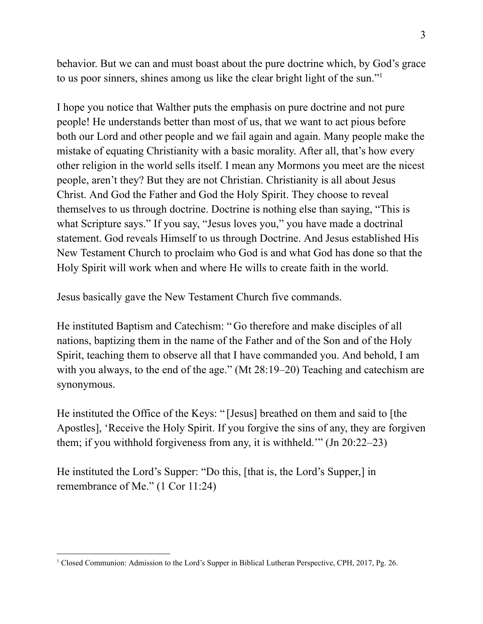behavior. But we can and must boast about the pure doctrine which, by God's grace to us poor sinners, shines among us like the clear bright light of the sun." 1

I hope you notice that Walther puts the emphasis on pure doctrine and not pure people! He understands better than most of us, that we want to act pious before both our Lord and other people and we fail again and again. Many people make the mistake of equating Christianity with a basic morality. After all, that's how every other religion in the world sells itself. I mean any Mormons you meet are the nicest people, aren't they? But they are not Christian. Christianity is all about Jesus Christ. And God the Father and God the Holy Spirit. They choose to reveal themselves to us through doctrine. Doctrine is nothing else than saying, "This is what Scripture says." If you say, "Jesus loves you," you have made a doctrinal statement. God reveals Himself to us through Doctrine. And Jesus established His New Testament Church to proclaim who God is and what God has done so that the Holy Spirit will work when and where He wills to create faith in the world.

Jesus basically gave the New Testament Church five commands.

He instituted Baptism and Catechism: " Go therefore and make disciples of all nations, baptizing them in the name of the Father and of the Son and of the Holy Spirit, teaching them to observe all that I have commanded you. And behold, I am with you always, to the end of the age." (Mt 28:19–20) Teaching and catechism are synonymous.

He instituted the Office of the Keys: " [Jesus] breathed on them and said to [the Apostles], 'Receive the Holy Spirit. If you forgive the sins of any, they are forgiven them; if you withhold forgiveness from any, it is withheld.'" (Jn 20:22–23)

He instituted the Lord's Supper: "Do this, [that is, the Lord's Supper,] in remembrance of Me." (1 Cor 11:24)

<sup>1</sup> Closed Communion: Admission to the Lord's Supper in Biblical Lutheran Perspective, CPH, 2017, Pg. 26.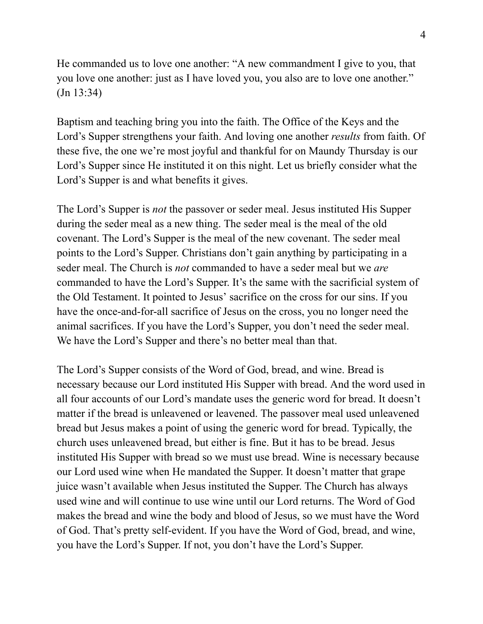He commanded us to love one another: "A new commandment I give to you, that you love one another: just as I have loved you, you also are to love one another." (Jn 13:34)

Baptism and teaching bring you into the faith. The Office of the Keys and the Lord's Supper strengthens your faith. And loving one another *results* from faith. Of these five, the one we're most joyful and thankful for on Maundy Thursday is our Lord's Supper since He instituted it on this night. Let us briefly consider what the Lord's Supper is and what benefits it gives.

The Lord's Supper is *not* the passover or seder meal. Jesus instituted His Supper during the seder meal as a new thing. The seder meal is the meal of the old covenant. The Lord's Supper is the meal of the new covenant. The seder meal points to the Lord's Supper. Christians don't gain anything by participating in a seder meal. The Church is *not* commanded to have a seder meal but we *are* commanded to have the Lord's Supper. It's the same with the sacrificial system of the Old Testament. It pointed to Jesus' sacrifice on the cross for our sins. If you have the once-and-for-all sacrifice of Jesus on the cross, you no longer need the animal sacrifices. If you have the Lord's Supper, you don't need the seder meal. We have the Lord's Supper and there's no better meal than that.

The Lord's Supper consists of the Word of God, bread, and wine. Bread is necessary because our Lord instituted His Supper with bread. And the word used in all four accounts of our Lord's mandate uses the generic word for bread. It doesn't matter if the bread is unleavened or leavened. The passover meal used unleavened bread but Jesus makes a point of using the generic word for bread. Typically, the church uses unleavened bread, but either is fine. But it has to be bread. Jesus instituted His Supper with bread so we must use bread. Wine is necessary because our Lord used wine when He mandated the Supper. It doesn't matter that grape juice wasn't available when Jesus instituted the Supper. The Church has always used wine and will continue to use wine until our Lord returns. The Word of God makes the bread and wine the body and blood of Jesus, so we must have the Word of God. That's pretty self-evident. If you have the Word of God, bread, and wine, you have the Lord's Supper. If not, you don't have the Lord's Supper.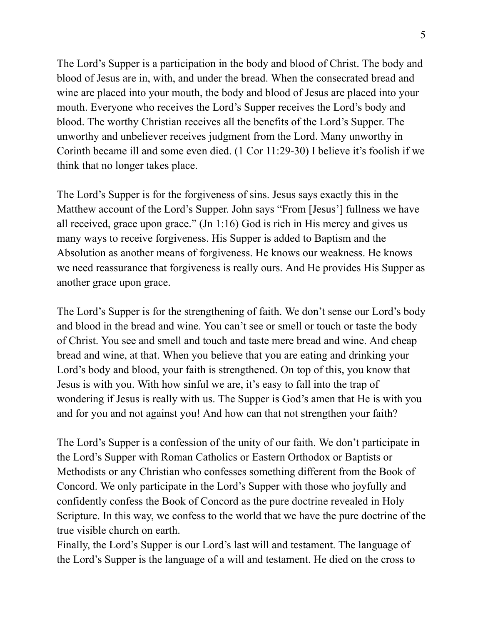The Lord's Supper is a participation in the body and blood of Christ. The body and blood of Jesus are in, with, and under the bread. When the consecrated bread and wine are placed into your mouth, the body and blood of Jesus are placed into your mouth. Everyone who receives the Lord's Supper receives the Lord's body and blood. The worthy Christian receives all the benefits of the Lord's Supper. The unworthy and unbeliever receives judgment from the Lord. Many unworthy in Corinth became ill and some even died. (1 Cor 11:29-30) I believe it's foolish if we think that no longer takes place.

The Lord's Supper is for the forgiveness of sins. Jesus says exactly this in the Matthew account of the Lord's Supper. John says "From [Jesus'] fullness we have all received, grace upon grace." (Jn 1:16) God is rich in His mercy and gives us many ways to receive forgiveness. His Supper is added to Baptism and the Absolution as another means of forgiveness. He knows our weakness. He knows we need reassurance that forgiveness is really ours. And He provides His Supper as another grace upon grace.

The Lord's Supper is for the strengthening of faith. We don't sense our Lord's body and blood in the bread and wine. You can't see or smell or touch or taste the body of Christ. You see and smell and touch and taste mere bread and wine. And cheap bread and wine, at that. When you believe that you are eating and drinking your Lord's body and blood, your faith is strengthened. On top of this, you know that Jesus is with you. With how sinful we are, it's easy to fall into the trap of wondering if Jesus is really with us. The Supper is God's amen that He is with you and for you and not against you! And how can that not strengthen your faith?

The Lord's Supper is a confession of the unity of our faith. We don't participate in the Lord's Supper with Roman Catholics or Eastern Orthodox or Baptists or Methodists or any Christian who confesses something different from the Book of Concord. We only participate in the Lord's Supper with those who joyfully and confidently confess the Book of Concord as the pure doctrine revealed in Holy Scripture. In this way, we confess to the world that we have the pure doctrine of the true visible church on earth.

Finally, the Lord's Supper is our Lord's last will and testament. The language of the Lord's Supper is the language of a will and testament. He died on the cross to